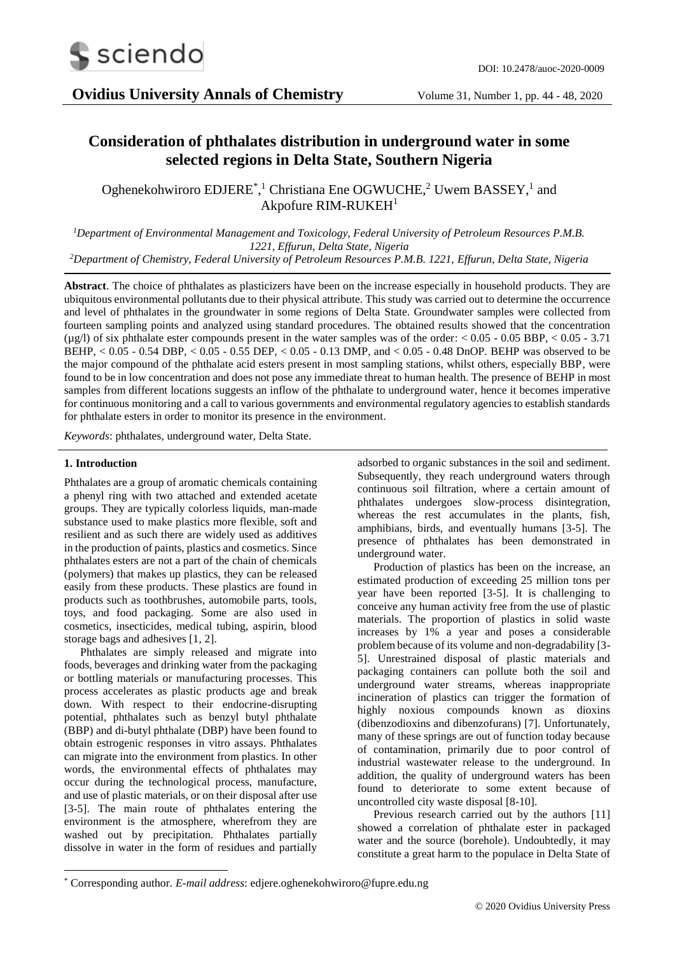

# **Consideration of phthalates distribution in underground water in some selected regions in Delta State, Southern Nigeria**

Oghenekohwiroro EDJERE<sup>\*</sup>,<sup>1</sup> Christiana Ene OGWUCHE,<sup>2</sup> Uwem BASSEY,<sup>1</sup> and Akpofure RIM-RUKEH<sup>1</sup>

*<sup>1</sup>Department of Environmental Management and Toxicology, Federal University of Petroleum Resources P.M.B. 1221, Effurun, Delta State, Nigeria*

*<sup>2</sup>Department of Chemistry, Federal University of Petroleum Resources P.M.B. 1221, Effurun, Delta State, Nigeria*

**Abstract**. The choice of phthalates as plasticizers have been on the increase especially in household products. They are ubiquitous environmental pollutants due to their physical attribute. This study was carried out to determine the occurrence and level of phthalates in the groundwater in some regions of Delta State. Groundwater samples were collected from fourteen sampling points and analyzed using standard procedures. The obtained results showed that the concentration (µg/l) of six phthalate ester compounds present in the water samples was of the order: < 0.05 - 0.05 BBP, < 0.05 - 3.71 BEHP, < 0.05 - 0.54 DBP, < 0.05 - 0.55 DEP, < 0.05 - 0.13 DMP, and < 0.05 - 0.48 DnOP. BEHP was observed to be the major compound of the phthalate acid esters present in most sampling stations, whilst others, especially BBP, were found to be in low concentration and does not pose any immediate threat to human health. The presence of BEHP in most samples from different locations suggests an inflow of the phthalate to underground water, hence it becomes imperative for continuous monitoring and a call to various governments and environmental regulatory agencies to establish standards for phthalate esters in order to monitor its presence in the environment*.* 

*Keywords*: phthalates, underground water, Delta State.

#### **1. Introduction**

-

Phthalates are a group of aromatic chemicals containing a phenyl ring with two attached and extended acetate groups. They are typically colorless liquids, man-made substance used to make plastics more flexible, soft and resilient and as such there are widely used as additives in the production of paints, plastics and cosmetics. Since phthalates esters are not a part of the chain of chemicals (polymers) that makes up plastics, they can be released easily from these products. These plastics are found in products such as toothbrushes, automobile parts, tools, toys, and food packaging. Some are also used in cosmetics, insecticides, medical tubing, aspirin, blood storage bags and adhesives [1, 2].

Phthalates are simply released and migrate into foods, beverages and drinking water from the packaging or bottling materials or manufacturing processes. This process accelerates as plastic products age and break down. With respect to their endocrine-disrupting potential, phthalates such as benzyl butyl phthalate (BBP) and di-butyl phthalate (DBP) have been found to obtain estrogenic responses in vitro assays. Phthalates can migrate into the environment from plastics. In other words, the environmental effects of phthalates may occur during the technological process, manufacture, and use of plastic materials, or on their disposal after use [3-5]. The main route of phthalates entering the environment is the atmosphere, wherefrom they are washed out by precipitation. Phthalates partially dissolve in water in the form of residues and partially

adsorbed to organic substances in the soil and sediment. Subsequently, they reach underground waters through continuous soil filtration, where a certain amount of phthalates undergoes slow-process disintegration, whereas the rest accumulates in the plants, fish, amphibians, birds, and eventually humans [3-5]. The presence of phthalates has been demonstrated in underground water.

Production of plastics has been on the increase, an estimated production of exceeding 25 million tons per year have been reported [3-5]. It is challenging to conceive any human activity free from the use of plastic materials. The proportion of plastics in solid waste increases by 1% a year and poses a considerable problem because of its volume and non-degradability [3- 5]. Unrestrained disposal of plastic materials and packaging containers can pollute both the soil and underground water streams, whereas inappropriate incineration of plastics can trigger the formation of highly noxious compounds known as dioxins (dibenzodioxins and dibenzofurans) [7]. Unfortunately, many of these springs are out of function today because of contamination, primarily due to poor control of industrial wastewater release to the underground. In addition, the quality of underground waters has been found to deteriorate to some extent because of uncontrolled city waste disposal [8-10].

Previous research carried out by the authors [11] showed a correlation of phthalate ester in packaged water and the source (borehole). Undoubtedly, it may constitute a great harm to the populace in Delta State of

<sup>\*</sup> Corresponding author. *E-mail address*: edjere.oghenekohwiroro@fupre.edu.ng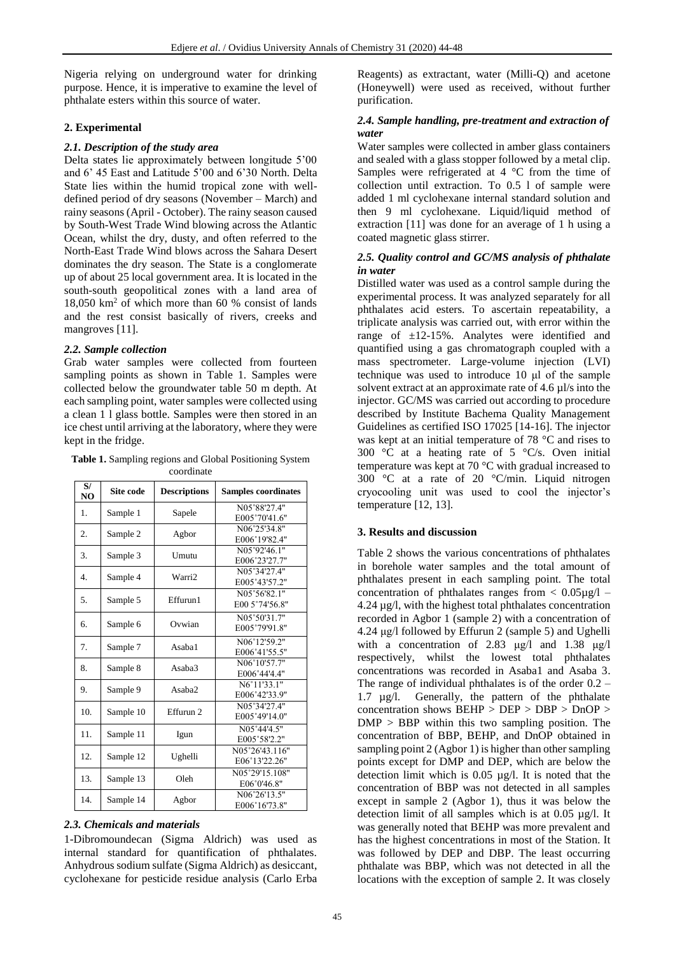Nigeria relying on underground water for drinking purpose. Hence, it is imperative to examine the level of phthalate esters within this source of water.

### **2. Experimental**

# *2.1. Description of the study area*

Delta states lie approximately between longitude 5'00 and 6' 45 East and Latitude 5'00 and 6'30 North. Delta State lies within the humid tropical zone with welldefined period of dry seasons (November – March) and rainy seasons (April - October). The rainy season caused by South-West Trade Wind blowing across the Atlantic Ocean, whilst the dry, dusty, and often referred to the North-East Trade Wind blows across the Sahara Desert dominates the dry season. The State is a conglomerate up of about 25 local government area. It is located in the south-south geopolitical zones with a land area of 18,050 km<sup>2</sup> of which more than 60 % consist of lands and the rest consist basically of rivers, creeks and mangroves [11].

## *2.2. Sample collection*

Grab water samples were collected from fourteen sampling points as shown in Table 1. Samples were collected below the groundwater table 50 m depth. At each sampling point, water samples were collected using a clean 1 l glass bottle. Samples were then stored in an ice chest until arriving at the laboratory, where they were kept in the fridge.

**Table 1.** Sampling regions and Global Positioning System coordinate

| S/<br>NO         | Site code | <b>Descriptions</b> | <b>Samples coordinates</b>      |  |  |
|------------------|-----------|---------------------|---------------------------------|--|--|
| 1.               | Sample 1  | Sapele              | N05°88'27.4"<br>E005°70'41.6"   |  |  |
| 2.               | Sample 2  | Agbor               | N06°25'34.8"<br>E006°19'82.4"   |  |  |
| 3.               | Sample 3  | Umutu               | N05°92'46.1"<br>E006°23'27.7"   |  |  |
| $\overline{4}$ . | Sample 4  | Warri <sub>2</sub>  | N05°34'27.4"<br>E005°43'57.2"   |  |  |
| 5.               | Sample 5  | Effurun1            | N05°56'82.1"<br>E00 5°74'56.8"  |  |  |
| 6.               | Sample 6  | Ovwian              | N05°50'31.7"<br>E005°79'91.8"   |  |  |
| 7.               | Sample 7  | Asaba1              | N06°12'59.2"<br>E006°41'55.5"   |  |  |
| 8.               | Sample 8  | Asaba3              | N06°10'57.7"<br>E006°44'4.4"    |  |  |
| 9.               | Sample 9  | Asaba2              | N6°11'33.1"<br>E006°42'33.9"    |  |  |
| 10.              | Sample 10 | Effurun 2           | N05°34'27.4"<br>E005°49'14.0"   |  |  |
| 11.              | Sample 11 | Igun                | N05°44'4.5"<br>E005°58'2.2"     |  |  |
| 12.              | Sample 12 | Ughelli             | N05°26'43.116"<br>E06°13'22.26" |  |  |
| 13.              | Sample 13 | Oleh                | N05°29'15.108"<br>E06°0'46.8"   |  |  |
| 14.              | Sample 14 | Agbor               | N06°26'13.5"<br>E006°16'73.8"   |  |  |

### *2.3. Chemicals and materials*

1-Dibromoundecan (Sigma Aldrich) was used as internal standard for quantification of phthalates. Anhydrous sodium sulfate (Sigma Aldrich) as desiccant, cyclohexane for pesticide residue analysis (Carlo Erba

Reagents) as extractant, water (Milli-Q) and acetone (Honeywell) were used as received, without further purification.

# *2.4. Sample handling, pre-treatment and extraction of water*

Water samples were collected in amber glass containers and sealed with a glass stopper followed by a metal clip. Samples were refrigerated at  $4 \degree C$  from the time of collection until extraction. To 0.5 l of sample were added 1 ml cyclohexane internal standard solution and then 9 ml cyclohexane. Liquid/liquid method of extraction [11] was done for an average of 1 h using a coated magnetic glass stirrer.

### *2.5. Quality control and GC/MS analysis of phthalate in water*

Distilled water was used as a control sample during the experimental process. It was analyzed separately for all phthalates acid esters. To ascertain repeatability, a triplicate analysis was carried out, with error within the range of ±12-15%. Analytes were identified and quantified using a gas chromatograph coupled with a mass spectrometer. Large-volume injection (LVI) technique was used to introduce 10 μl of the sample solvent extract at an approximate rate of 4.6 µl/s into the injector. GC/MS was carried out according to procedure described by Institute Bachema Quality Management Guidelines as certified ISO 17025 [14-16]. The injector was kept at an initial temperature of 78 °C and rises to 300 °C at a heating rate of 5 °C/s. Oven initial temperature was kept at 70 °C with gradual increased to 300 °C at a rate of 20 °C/min. Liquid nitrogen cryocooling unit was used to cool the injector's temperature [12, 13].

# **3. Results and discussion**

Table 2 shows the various concentrations of phthalates in borehole water samples and the total amount of phthalates present in each sampling point. The total concentration of phthalates ranges from  $< 0.05 \mu g/l$  – 4.24 µg/l, with the highest total phthalates concentration recorded in Agbor 1 (sample 2) with a concentration of 4.24 μg/l followed by Effurun 2 (sample 5) and Ughelli with a concentration of 2.83 μg/l and 1.38 μg/l respectively, whilst the lowest total phthalates concentrations was recorded in Asaba1 and Asaba 3. The range of individual phthalates is of the order  $0.2 -$ 1.7 µg/l. Generally, the pattern of the phthalate concentration shows BEHP > DEP > DBP > DnOP >  $DMP > BBP$  within this two sampling position. The concentration of BBP, BEHP, and DnOP obtained in sampling point 2 (Agbor 1) is higher than other sampling points except for DMP and DEP, which are below the detection limit which is 0.05 µg/l. It is noted that the concentration of BBP was not detected in all samples except in sample 2 (Agbor 1), thus it was below the detection limit of all samples which is at 0.05 µg/l. It was generally noted that BEHP was more prevalent and has the highest concentrations in most of the Station. It was followed by DEP and DBP. The least occurring phthalate was BBP, which was not detected in all the locations with the exception of sample 2. It was closely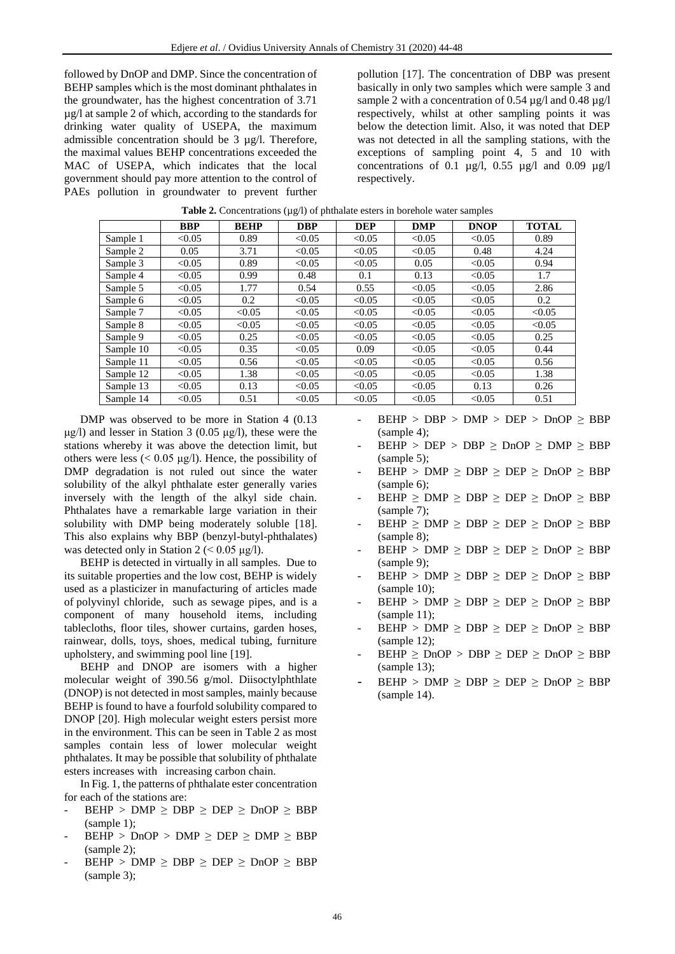followed by DnOP and DMP. Since the concentration of BEHP samples which is the most dominant phthalates in the groundwater, has the highest concentration of 3.71 µg/l at sample 2 of which, according to the standards for drinking water quality of USEPA, the maximum admissible concentration should be  $3 \mu g/l$ . Therefore, the maximal values BEHP concentrations exceeded the MAC of USEPA, which indicates that the local government should pay more attention to the control of PAEs pollution in groundwater to prevent further

pollution [17]. The concentration of DBP was present basically in only two samples which were sample 3 and sample 2 with a concentration of 0.54  $\mu$ g/l and 0.48  $\mu$ g/l respectively, whilst at other sampling points it was below the detection limit. Also, it was noted that DEP was not detected in all the sampling stations, with the exceptions of sampling point 4, 5 and 10 with concentrations of 0.1  $\mu$ g/l, 0.55  $\mu$ g/l and 0.09  $\mu$ g/l respectively.

|           | <b>BBP</b> | <b>BEHP</b> | <b>DBP</b> | <b>DEP</b> | <b>DMP</b> | <b>DNOP</b> | <b>TOTAL</b> |
|-----------|------------|-------------|------------|------------|------------|-------------|--------------|
| Sample 1  | < 0.05     | 0.89        | < 0.05     | < 0.05     | < 0.05     | < 0.05      | 0.89         |
| Sample 2  | 0.05       | 3.71        | < 0.05     | < 0.05     | < 0.05     | 0.48        | 4.24         |
| Sample 3  | < 0.05     | 0.89        | < 0.05     | < 0.05     | 0.05       | < 0.05      | 0.94         |
| Sample 4  | < 0.05     | 0.99        | 0.48       | 0.1        | 0.13       | < 0.05      | 1.7          |
| Sample 5  | < 0.05     | 1.77        | 0.54       | 0.55       | < 0.05     | < 0.05      | 2.86         |
| Sample 6  | < 0.05     | 0.2         | < 0.05     | < 0.05     | < 0.05     | < 0.05      | 0.2          |
| Sample 7  | < 0.05     | < 0.05      | < 0.05     | < 0.05     | < 0.05     | < 0.05      | < 0.05       |
| Sample 8  | < 0.05     | < 0.05      | < 0.05     | < 0.05     | < 0.05     | < 0.05      | < 0.05       |
| Sample 9  | < 0.05     | 0.25        | < 0.05     | < 0.05     | < 0.05     | < 0.05      | 0.25         |
| Sample 10 | < 0.05     | 0.35        | < 0.05     | 0.09       | < 0.05     | < 0.05      | 0.44         |
| Sample 11 | < 0.05     | 0.56        | < 0.05     | < 0.05     | < 0.05     | < 0.05      | 0.56         |
| Sample 12 | < 0.05     | 1.38        | < 0.05     | < 0.05     | < 0.05     | < 0.05      | 1.38         |
| Sample 13 | < 0.05     | 0.13        | < 0.05     | < 0.05     | < 0.05     | 0.13        | 0.26         |
| Sample 14 | < 0.05     | 0.51        | < 0.05     | < 0.05     | < 0.05     | < 0.05      | 0.51         |

Table 2. Concentrations (µg/l) of phthalate esters in borehole water samples

DMP was observed to be more in Station 4 (0.13 μg/l) and lesser in Station 3 (0.05 μg/l), these were the stations whereby it was above the detection limit, but others were less ( $< 0.05 \mu g/l$ ). Hence, the possibility of DMP degradation is not ruled out since the water solubility of the alkyl phthalate ester generally varies inversely with the length of the alkyl side chain. Phthalates have a remarkable large variation in their solubility with DMP being moderately soluble [18]. This also explains why BBP (benzyl-butyl-phthalates) was detected only in Station 2 ( $< 0.05 \mu g/l$ ).

BEHP is detected in virtually in all samples. Due to its suitable properties and the low cost, BEHP is widely used as a plasticizer in manufacturing of articles made of polyvinyl chloride, such as sewage pipes, and is a component of many household items, including tablecloths, floor tiles, shower curtains, garden hoses, rainwear, dolls, toys, shoes, medical tubing, furniture upholstery, and swimming pool line [19].

BEHP and DNOP are isomers with a higher molecular weight of 390.56 g/mol. Diisoctylphthlate (DNOP) is not detected in most samples, mainly because BEHP is found to have a fourfold solubility compared to DNOP [20]. High molecular weight esters persist more in the environment. This can be seen in Table 2 as most samples contain less of lower molecular weight phthalates. It may be possible that solubility of phthalate esters increases with increasing carbon chain.

In Fig. 1, the patterns of phthalate ester concentration for each of the stations are:

- $BEHP$  > DMP  $\geq$  DBP  $\geq$  DEP  $\geq$  DnOP  $\geq$  BBP (sample 1);
- $BEHP$  > DnOP > DMP  $\geq$  DEP  $\geq$  DMP  $\geq$  BBP (sample 2);
- $BEHP$  >  $DMP \ge DBP \ge DEP \ge DnOP \ge BBP$ (sample 3);
- $BEHP$  >  $DBP$  >  $DMP$  >  $DEP$  >  $DnOP \geq BBP$ (sample 4);
- $BEHP$  >  $DEP$  >  $DBP$   $\geq$   $DnOP$   $\geq$   $DMP$   $\geq$   $BBP$ (sample 5);
- $BEHP$  >  $DMP \geq DBP \geq DEP \geq DnOP \geq BBP$ (sample 6);
- $BEHP \geq DMP \geq DBP \geq DEP \geq DnOP \geq BBP$ (sample 7);
- $BEHP \geq DMP \geq DBP \geq DEP \geq DnOP \geq BBP$ (sample 8);
- $BEHP$  >  $DMP \geq DBP \geq DEP \geq DnOP \geq BBP$ (sample 9);
- $BEHP$  >  $DMP \ge DBP \ge DEP \ge DnOP \ge BBP$ (sample 10);
- $BEHP$  >  $DMP \ge DBP \ge DEP \ge DnOP \ge BBP$ (sample 11);
- $BEHP$  > DMP  $\geq$  DBP  $\geq$  DEP  $\geq$  DnOP  $\geq$  BBP (sample 12);
- $BEHP \geq DnOP > DBP \geq DEP \geq DnOP \geq BBP$ (sample 13);
- $BEHP$  >  $DMP \geq DBP \geq DEP \geq DnOP \geq BBP$ (sample 14).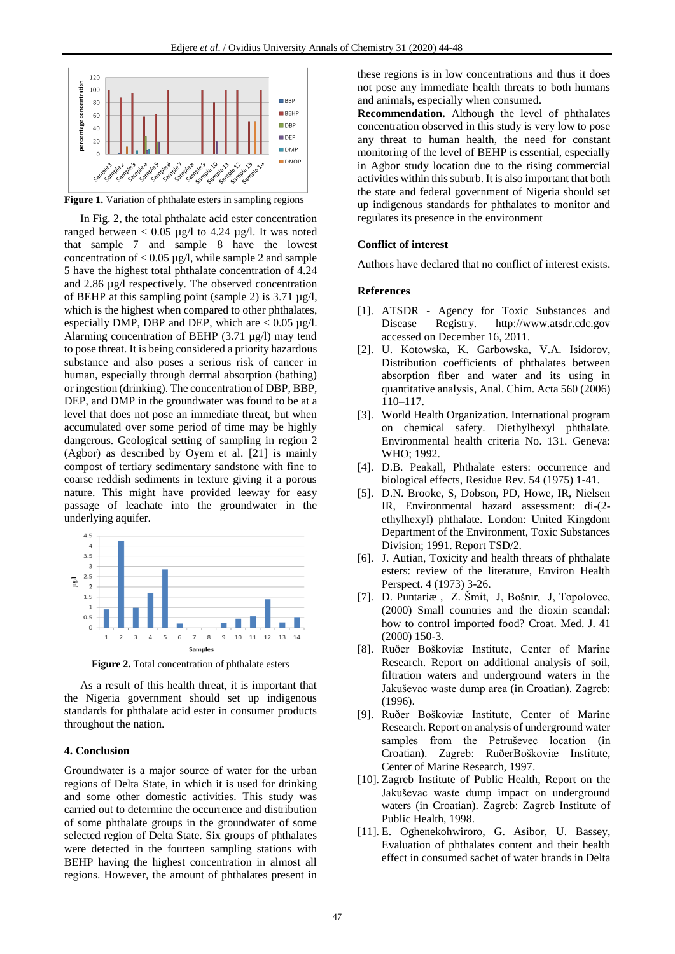

**Figure 1.** Variation of phthalate esters in sampling regions

In Fig. 2, the total phthalate acid ester concentration ranged between  $< 0.05 \mu g/l$  to 4.24  $\mu g/l$ . It was noted that sample 7 and sample 8 have the lowest concentration of  $< 0.05 \mu g/l$ , while sample 2 and sample 5 have the highest total phthalate concentration of 4.24 and 2.86 µg/l respectively. The observed concentration of BEHP at this sampling point (sample 2) is  $3.71 \mu g/l$ , which is the highest when compared to other phthalates, especially DMP, DBP and DEP, which are  $< 0.05 \mu g/l$ . Alarming concentration of BEHP (3.71 µg/l) may tend to pose threat. It is being considered a priority hazardous substance and also poses a serious risk of cancer in human, especially through dermal absorption (bathing) or ingestion (drinking). The concentration of DBP, BBP, DEP, and DMP in the groundwater was found to be at a level that does not pose an immediate threat, but when accumulated over some period of time may be highly dangerous. Geological setting of sampling in region 2 (Agbor) as described by Oyem et al. [21] is mainly compost of tertiary sedimentary sandstone with fine to coarse reddish sediments in texture giving it a porous nature. This might have provided leeway for easy passage of leachate into the groundwater in the underlying aquifer.



**Figure 2.** Total concentration of phthalate esters

As a result of this health threat, it is important that the Nigeria government should set up indigenous standards for phthalate acid ester in consumer products throughout the nation.

#### **4. Conclusion**

Groundwater is a major source of water for the urban regions of Delta State, in which it is used for drinking and some other domestic activities. This study was carried out to determine the occurrence and distribution of some phthalate groups in the groundwater of some selected region of Delta State. Six groups of phthalates were detected in the fourteen sampling stations with BEHP having the highest concentration in almost all regions. However, the amount of phthalates present in

these regions is in low concentrations and thus it does not pose any immediate health threats to both humans and animals, especially when consumed.

**Recommendation.** Although the level of phthalates concentration observed in this study is very low to pose any threat to human health, the need for constant monitoring of the level of BEHP is essential, especially in Agbor study location due to the rising commercial activities within this suburb. It is also important that both the state and federal government of Nigeria should set up indigenous standards for phthalates to monitor and regulates its presence in the environment

#### **Conflict of interest**

Authors have declared that no conflict of interest exists.

#### **References**

- [1]. ATSDR Agency for Toxic Substances and Disease Registry. http://www.atsdr.cdc.gov accessed on December 16, 2011.
- [2]. U. Kotowska, K. Garbowska, V.A. Isidorov, Distribution coefficients of phthalates between absorption fiber and water and its using in quantitative analysis, Anal. Chim. Acta 560 (2006) 110–117.
- [3]. World Health Organization. International program on chemical safety. Diethylhexyl phthalate. Environmental health criteria No. 131. Geneva: WHO; 1992.
- [4]. D.B. Peakall, Phthalate esters: occurrence and biological effects, Residue Rev. 54 (1975) 1-41.
- [5]. D.N. Brooke, S, Dobson, PD, Howe, IR, Nielsen IR, Environmental hazard assessment: di-(2 ethylhexyl) phthalate. London: United Kingdom Department of the Environment, Toxic Substances Division; 1991. Report TSD/2.
- [6]. J. Autian, Toxicity and health threats of phthalate esters: review of the literature, Environ Health Perspect. 4 (1973) 3-26.
- [7]. D. Puntariæ , Z. Šmit, J, Bošnir, J, Topolovec, (2000) Small countries and the dioxin scandal: how to control imported food? Croat. Med. J. 41 (2000) 150-3.
- [8]. Ruðer Boškoviæ Institute, Center of Marine Research. Report on additional analysis of soil, filtration waters and underground waters in the Jakuševac waste dump area (in Croatian). Zagreb: (1996).
- [9]. Ruðer Boškoviæ Institute, Center of Marine Research. Report on analysis of underground water samples from the Petruševec location (in Croatian). Zagreb: RuðerBoškoviæ Institute, Center of Marine Research, 1997.
- [10]. Zagreb Institute of Public Health, Report on the Jakuševac waste dump impact on underground waters (in Croatian). Zagreb: Zagreb Institute of Public Health, 1998.
- [11]. E. Oghenekohwiroro, G. Asibor, U. Bassey, Evaluation of phthalates content and their health effect in consumed sachet of water brands in Delta